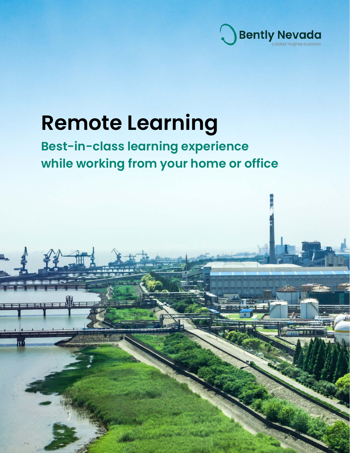

# **Remote Learning**

### **Best-in-class learning experience while working from your home or office**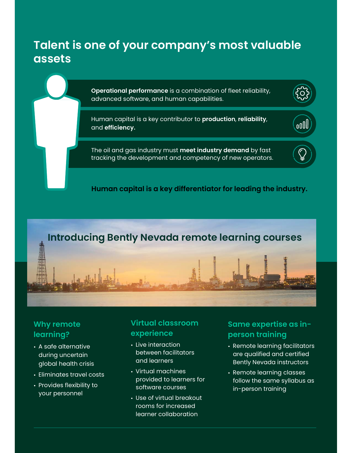### **Talent is one of your company's most valuable assets**

**Operational performance** is a combination of fleet reliability, advanced software, and human capabilities.

Human capital is a key contributor to **production**, **reliability**, and **efficiency.**

The oil and gas industry must **meet industry demand** by fast tracking the development and competency of new operators.

#### **Human capital is a key differentiator for leading the industry.**

### **Introducing Bently Nevada remote learning courses**

### **Why remote learning?**

- **•** A safe alternative during uncertain global health crisis
- **•** Eliminates travel costs
- **•** Provides flexibility to your personnel

### **Virtual classroom experience**

- **•** Live interaction between facilitators and learners
- **•** Virtual machines provided to learners for software courses
- **•** Use of virtual breakout rooms for increased learner collaboration

### **Same expertise as inperson training**

oOU

- **•** Remote learning facilitators are qualified and certified Bently Nevada instructors
- **•** Remote learning classes follow the same syllabus as in-person training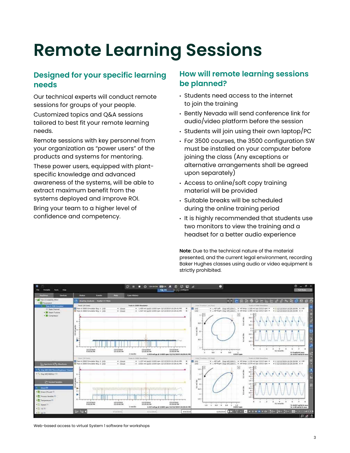## **Remote Learning Sessions**

### **Designed for your specific learning needs**

Our technical experts will conduct remote sessions for groups of your people. Customized topics and Q&A sessions

tailored to best fit your remote learning needs.

Remote sessions with key personnel from your organization as "power users" of the products and systems for mentoring.

These power users, equipped with plantspecific knowledge and advanced awareness of the systems, will be able to extract maximum benefit from the systems deployed and improve ROI.

Bring your team to a higher level of confidence and competency.

### **How will remote learning sessions be planned?**

- Students need access to the internet to join the training
- Bently Nevada will send conference link for audio/video platform before the session
- Students will join using their own laptop/PC
- For 3500 courses, the 3500 configuration SW must be installed on your computer before joining the class (Any exceptions or alternative arrangements shall be agreed upon separately)
- Access to online/soft copy training material will be provided
- Suitable breaks will be scheduled during the online training period
- It is highly recommended that students use two monitors to view the training and a headset for a better audio experience

**Note**: Due to the technical nature of the material presented, and the current legal environment, recording Baker Hughes classes using audio or video equipment is strictly prohibited.



Web-based access to virtual System 1 software for workshops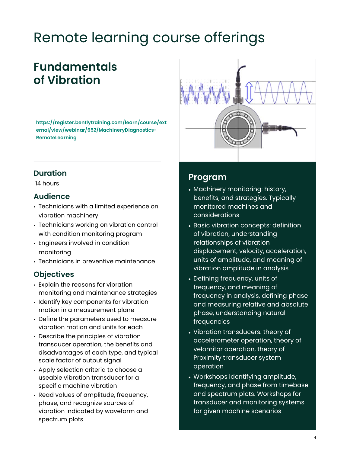## Remote learning course offerings

### **Fundamentals of Vibration**

**https://register.bentlytraining.com/learn/course/ext ernal/view/webinar/652/MachineryDiagnostics-RemoteLearning** 



14 hours

#### **Audience**

- Technicians with a limited experience on vibration machinery
- Technicians working on vibration control with condition monitoring program
- Engineers involved in condition monitoring
- Technicians in preventive maintenance

### **Objectives**

- Explain the reasons for vibration monitoring and maintenance strategies
- Identify key components for vibration motion in a measurement plane
- Define the parameters used to measure vibration motion and units for each
- Describe the principles of vibration transducer operation, the benefits and disadvantages of each type, and typical scale factor of output signal
- Apply selection criteria to choose a useable vibration transducer for a specific machine vibration
- Read values of amplitude, frequency, phase, and recognize sources of vibration indicated by waveform and spectrum plots



- Machinery monitoring: history, benefits, and strategies. Typically monitored machines and considerations
- Basic vibration concepts: definition of vibration, understanding relationships of vibration displacement, velocity, acceleration, units of amplitude, and meaning of vibration amplitude in analysis
- Defining frequency, units of frequency, and meaning of frequency in analysis, defining phase and measuring relative and absolute phase, understanding natural frequencies
- Vibration transducers: theory of accelerometer operation, theory of velomitor operation, theory of Proximity transducer system operation
- Workshops identifying amplitude, frequency, and phase from timebase and spectrum plots. Workshops for transducer and monitoring systems for given machine scenarios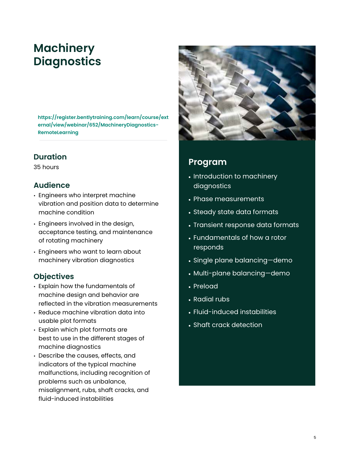### **Machinery Diagnostics**

**https://register.bentlytraining.com/learn/course/ext ernal/view/webinar/652/MachineryDiagnostics-RemoteLearning** 

### **Duration**

35 hours

### **Audience**

- Engineers who interpret machine vibration and position data to determine machine condition
- Engineers involved in the design, acceptance testing, and maintenance of rotating machinery
- Engineers who want to learn about machinery vibration diagnostics

### **Objectives**

- Explain how the fundamentals of machine design and behavior are reflected in the vibration measurements
- Reduce machine vibration data into usable plot formats
- Explain which plot formats are best to use in the different stages of machine diagnostics
- Describe the causes, effects, and indicators of the typical machine malfunctions, including recognition of problems such as unbalance, misalignment, rubs, shaft cracks, and fluid-induced instabilities



- Introduction to machinery diagnostics
- Phase measurements
- Steady state data formats
- Transient response data formats
- Fundamentals of how a rotor responds
- Single plane balancing—demo
- Multi-plane balancing—demo
- Preload
- Radial rubs
- Fluid-induced instabilities
- Shaft crack detection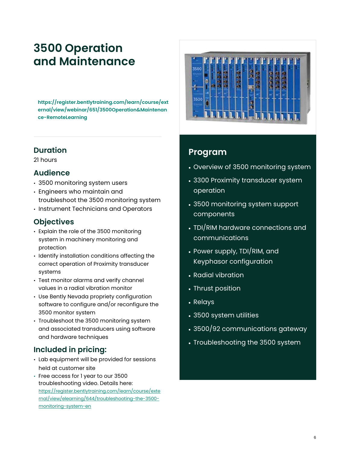### **3500 Operation and Maintenance**

**https://register.bentlytraining.com/learn/course/ext ernal/view/webinar/651/3500Operation&Maintenan ce-RemoteLearning** 

#### **Duration**

21 hours

#### **Audience**

- 3500 monitoring system users
- Engineers who maintain and troubleshoot the 3500 monitoring system
- Instrument Technicians and Operators

### **Objectives**

- Explain the role of the 3500 monitoring system in machinery monitoring and protection
- Identify installation conditions affecting the correct operation of Proximity transducer systems
- Test monitor alarms and verify channel values in a radial vibration monitor
- Use Bently Nevada propriety configuration software to configure and/or reconfigure the 3500 monitor system
- Troubleshoot the 3500 monitoring system and associated transducers using software and hardware techniques

### **Included in pricing:**

- Lab equipment will be provided for sessions held at customer site
- Free access for 1 year to our 3500 troubleshooting video. Details here: https://register.bentlytraining.com/learn/course/exte rnal/view/elearning/644/troubleshooting-the-3500 monitoring-system-en



- Overview of 3500 monitoring system
- 3300 Proximity transducer system operation
- 3500 monitoring system support components
- TDI/RIM hardware connections and communications
- Power supply, TDI/RIM, and Keyphasor configuration
- Radial vibration
- Thrust position
- Relays
- 3500 system utilities
- 3500/92 communications gateway
- Troubleshooting the 3500 system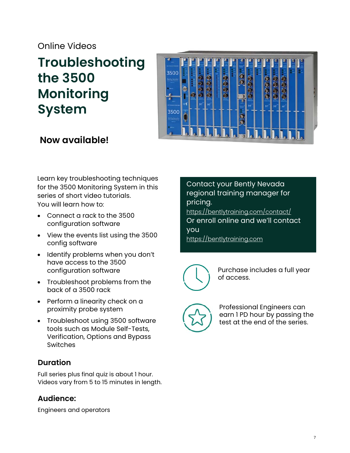### Online Videos

### **Troubleshooting the 3500 Monitoring System**



### **Now available!**

Learn key troubleshooting techniques for the 3500 Monitoring System in this series of short video tutorials. You will learn how to:

- Connect a rack to the 3500 configuration software
- View the events list using the 3500 config software
- Identify problems when you don't have access to the 3500 configuration software
- Troubleshoot problems from the back of a 3500 rack
- Perform a linearity check on a proximity probe system
- Troubleshoot using 3500 software tools such as Module Self-Tests, Verification, Options and Bypass Switches

### **Duration**

Full series plus final quiz is about 1 hour. Videos vary from 5 to 15 minutes in length.

### **Audience:**

Engineers and operators

Contact your Bently Nevada regional training manager for pricing. https://bentlytraining.com/contact/ Or enroll online and we'll contact you https://bentlytraining.com



Purchase includes a full year of access.



Professional Engineers can earn 1 PD hour by passing the test at the end of the series.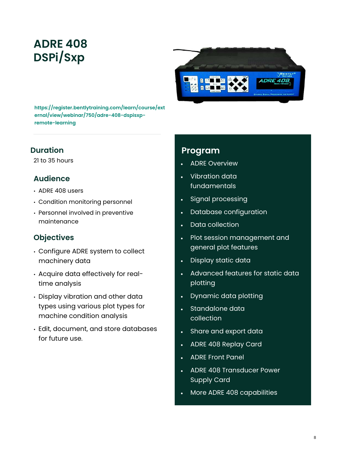### **ADRE 408 DSPi/Sxp**



**https://register.bentlytraining.com/learn/course/ext ernal/view/webinar/750/adre-408-dspisxpremote-learning** 

### **Duration**

21 to 35 hours

### **Audience**

- ADRE 408 users
- Condition monitoring personnel
- Personnel involved in preventive maintenance

### **Objectives**

- Configure ADRE system to collect machinery data
- Acquire data effectively for realtime analysis
- Display vibration and other data types using various plot types for machine condition analysis
- Edit, document, and store databases for future use.

- ADRE Overview
- Vibration data fundamentals
- Signal processing
- Database configuration
- Data collection
- Plot session management and general plot features
- Display static data
- Advanced features for static data plotting
- Dynamic data plotting
- Standalone data collection
- Share and export data
- ADRE 408 Replay Card
- ADRE Front Panel
- ADRE 408 Transducer Power Supply Card
- More ADRE 408 capabilities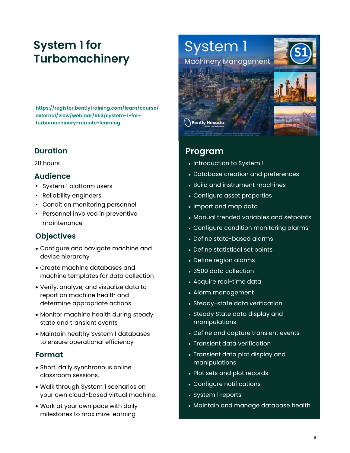### **System 1 for Turbomachinery**

**https://register.bentlytraining.com/learn/course/ external/view/webinar/653/system-1-forturbomachinery-remote-learning** 

### **Duration**

28 hours

### **Audience**

- System 1 platform users
- Reliability engineers
- Condition monitoring personnel
- Personnel involved in preventive maintenance

### **Objectives**

- Configure and navigate machine and device hierarchy
- Create machine databases and machine templates for data collection
- Verify, analyze, and visualize data to report on machine health and determine appropriate actions
- Monitor machine health during steady state and transient events
- Maintain healthy System 1 databases to ensure operational efficiency

### **Format**

- Short, daily synchronous online classroom sessions.
- Walk through System 1 scenarios on your own cloud-based virtual machine.
- Work at your own pace with daily milestones to maximize learning



- Introduction to System 1
- Database creation and preferences
- Build and instrument machines
- Configure asset properties
- Import and map data
- Manual trended variables and setpoints
- Configure condition monitoring alarms
- Define state-based alarms
- Define statistical set points
- Define region alarms
- 3500 data collection
- Acquire real-time data
- Alarm management
- Steady-state data verification
- Steady State data display and manipulations
- Define and capture transient events
- Transient data verification
- Transient data plot display and manipulations
- Plot sets and plot records
- Configure notifications
- System 1 reports
- Maintain and manage database health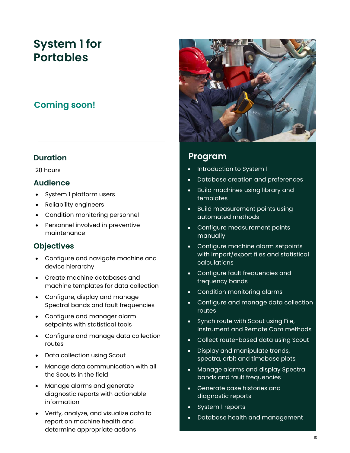### **System 1 for Portables**

### **Coming soon!**

#### **Duration**

28 hours

#### **Audience**

- System 1 platform users
- Reliability engineers
- Condition monitoring personnel
- Personnel involved in preventive maintenance

### **Objectives**

- Configure and navigate machine and device hierarchy
- Create machine databases and machine templates for data collection
- Configure, display and manage Spectral bands and fault frequencies
- Configure and manager alarm setpoints with statistical tools
- Configure and manage data collection routes
- Data collection using Scout
- Manage data communication with all the Scouts in the field
- Manage alarms and generate diagnostic reports with actionable information
- Verify, analyze, and visualize data to report on machine health and determine appropriate actions



- Introduction to System 1
- Database creation and preferences
- Build machines using library and templates
- Build measurement points using automated methods
- Configure measurement points manually
- Configure machine alarm setpoints with import/export files and statistical calculations
- Configure fault frequencies and frequency bands
- Condition monitoring alarms
- Configure and manage data collection routes
- Synch route with Scout using File, Instrument and Remote Com methods
- Collect route-based data using Scout
- Display and manipulate trends, spectra, orbit and timebase plots
- Manage alarms and display Spectral bands and fault frequencies
- Generate case histories and diagnostic reports
- System 1 reports
- Database health and management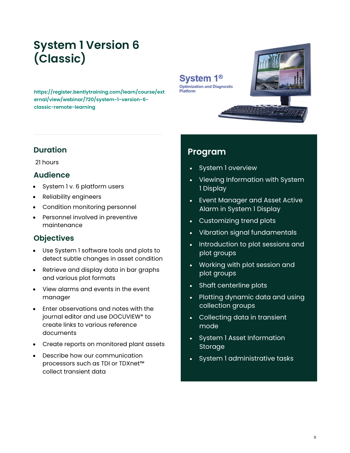### **System 1 Version 6 (Classic)**

**https://register.bentlytraining.com/learn/course/ext ernal/view/webinar/720/system-1-version-6 classic-remote-learning** 

### **Duration**

21 hours

#### **Audience**

- System 1 v. 6 platform users
- Reliability engineers
- Condition monitoring personnel
- Personnel involved in preventive maintenance

### **Objectives**

- Use System 1 software tools and plots to detect subtle changes in asset condition
- Retrieve and display data in bar graphs and various plot formats
- View alarms and events in the event manager
- Enter observations and notes with the journal editor and use DOCUVIEW\* to create links to various reference documents
- Create reports on monitored plant assets
- Describe how our communication processors such as TDI or TDXnet™ collect transient data

### **Program**

System 1<sup>®</sup> **Optimization and Diagnostic** 

Platform

- System 1 overview
- Viewing Information with System 1 Display
- Event Manager and Asset Active Alarm in System 1 Display
- Customizing trend plots
- Vibration signal fundamentals
- Introduction to plot sessions and plot groups
- Working with plot session and plot groups
- Shaft centerline plots
- Plotting dynamic data and using collection groups
- Collecting data in transient mode
- System 1 Asset Information Storage
- System 1 administrative tasks

11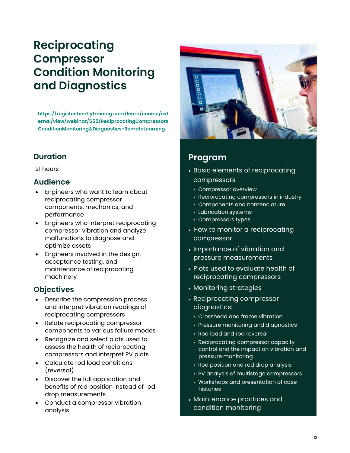### **Reciprocating Compressor Condition Monitoring and Diagnostics**

**https://register.bentlytraining.com/learn/course/ext ernal/view/webinar/655/ReciprocatingCompressors ConditionMonitoring&Diagnostics-RemoteLearning**

### **Duration**

21 hours

### **Audience**

- Engineers who want to learn about reciprocating compressor components, mechanics, and performance
- Engineers who interpret reciprocating compressor vibration and analyze malfunctions to diagnose and optimize assets
- Engineers involved in the design, acceptance testing, and maintenance of reciprocating machinery

### **Objectives**

- Describe the compression process and interpret vibration readings of reciprocating compressors
- Relate reciprocating compressor components to various failure modes
- Recognize and select plots used to assess the health of reciprocating compressors and interpret PV plots
- Calculate rod load conditions (reversal)
- Discover the full application and benefits of rod position instead of rod drop measurements
- Conduct a compressor vibration analysis



- Basic elements of reciprocating compressors
	- Compressor overview
	- Reciprocating compressors in industry
	- Components and nomenclature
	- Lubrication systems
	- Compressors types
- How to monitor a reciprocating compressor
- Importance of vibration and pressure measurements
- Plots used to evaluate health of reciprocating compressors
- Monitoring strategies
- Reciprocating compressor diagnostics:
	- Crosshead and frame vibration
	- Pressure monitoring and diagnostics
	- Rod load and rod reversal
	- Reciprocating compressor capacity control and the impact on vibration and pressure monitoring
	- Rod position and rod drop analysis
	- PV analysis of multistage compressors
	- Workshops and presentation of case histories
- Maintenance practices and condition monitoring